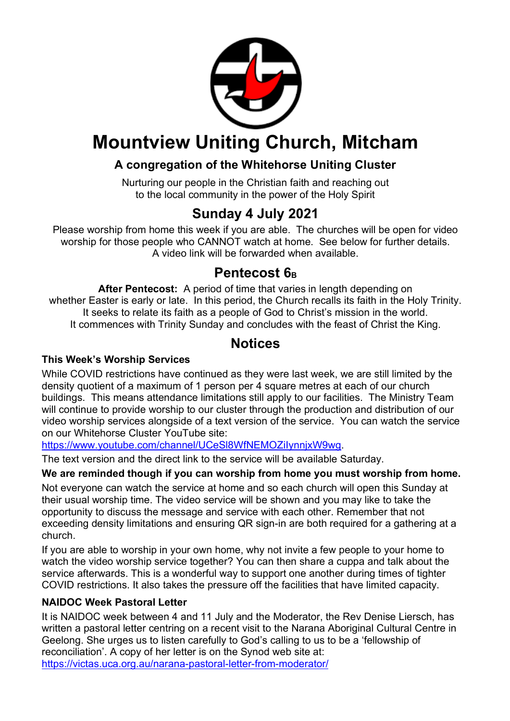

## **Mountview Uniting Church, Mitcham**

### **A congregation of the Whitehorse Uniting Cluster**

Nurturing our people in the Christian faith and reaching out to the local community in the power of the Holy Spirit

## **Sunday 4 July 2021**

Please worship from home this week if you are able. The churches will be open for video worship for those people who CANNOT watch at home. See below for further details. A video link will be forwarded when available.

## **Pentecost 6**<sub>B</sub>

**After Pentecost:** A period of time that varies in length depending on whether Easter is early or late. In this period, the Church recalls its faith in the Holy Trinity. It seeks to relate its faith as a people of God to Christ's mission in the world. It commences with Trinity Sunday and concludes with the feast of Christ the King.

## **Notices**

#### **This Week's Worship Services**

While COVID restrictions have continued as they were last week, we are still limited by the density quotient of a maximum of 1 person per 4 square metres at each of our church buildings. This means attendance limitations still apply to our facilities. The Ministry Team will continue to provide worship to our cluster through the production and distribution of our video worship services alongside of a text version of the service. You can watch the service on our Whitehorse Cluster YouTube site:

https://www.youtube.com/channel/UCeSl8WfNEMOZiIynnjxW9wg.

The text version and the direct link to the service will be available Saturday.

#### **We are reminded though if you can worship from home you must worship from home.**

Not everyone can watch the service at home and so each church will open this Sunday at their usual worship time. The video service will be shown and you may like to take the opportunity to discuss the message and service with each other. Remember that not exceeding density limitations and ensuring QR sign-in are both required for a gathering at a church.

If you are able to worship in your own home, why not invite a few people to your home to watch the video worship service together? You can then share a cuppa and talk about the service afterwards. This is a wonderful way to support one another during times of tighter COVID restrictions. It also takes the pressure off the facilities that have limited capacity.

#### **NAIDOC Week Pastoral Letter**

It is NAIDOC week between 4 and 11 July and the Moderator, the Rev Denise Liersch, has written a pastoral letter centring on a recent visit to the Narana Aboriginal Cultural Centre in Geelong. She urges us to listen carefully to God's calling to us to be a 'fellowship of reconciliation'. A copy of her letter is on the Synod web site at: https://victas.uca.org.au/narana-pastoral-letter-from-moderator/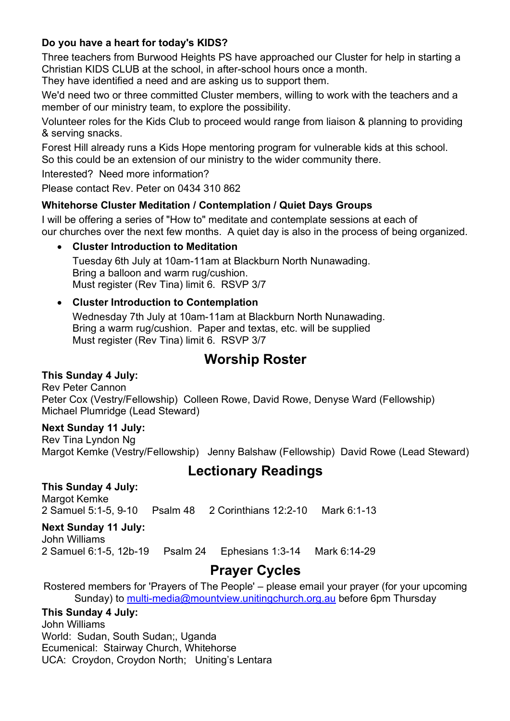#### **Do you have a heart for today's KIDS?**

Three teachers from Burwood Heights PS have approached our Cluster for help in starting a Christian KIDS CLUB at the school, in after-school hours once a month.

They have identified a need and are asking us to support them.

We'd need two or three committed Cluster members, willing to work with the teachers and a member of our ministry team, to explore the possibility.

Volunteer roles for the Kids Club to proceed would range from liaison & planning to providing & serving snacks.

Forest Hill already runs a Kids Hope mentoring program for vulnerable kids at this school. So this could be an extension of our ministry to the wider community there.

Interested? Need more information?

Please contact Rev. Peter on 0434 310 862

#### **Whitehorse Cluster Meditation / Contemplation / Quiet Days Groups**

I will be offering a series of "How to" meditate and contemplate sessions at each of our churches over the next few months. A quiet day is also in the process of being organized.

#### • **Cluster Introduction to Meditation**

Tuesday 6th July at 10am-11am at Blackburn North Nunawading. Bring a balloon and warm rug/cushion. Must register (Rev Tina) limit 6. RSVP 3/7

#### • **Cluster Introduction to Contemplation**

Wednesday 7th July at 10am-11am at Blackburn North Nunawading. Bring a warm rug/cushion. Paper and textas, etc. will be supplied Must register (Rev Tina) limit 6. RSVP 3/7

## **Worship Roster**

#### **This Sunday 4 July:**

Rev Peter Cannon Peter Cox (Vestry/Fellowship) Colleen Rowe, David Rowe, Denyse Ward (Fellowship) Michael Plumridge (Lead Steward)

#### **Next Sunday 11 July:**

Rev Tina Lyndon Ng Margot Kemke (Vestry/Fellowship) Jenny Balshaw (Fellowship) David Rowe (Lead Steward)

## **Lectionary Readings**

**This Sunday 4 July:**  Margot Kemke 2 Samuel 5:1-5, 9-10 Psalm 48 2 Corinthians 12:2-10 Mark 6:1-13

#### **Next Sunday 11 July:**

John Williams 2 Samuel 6:1-5, 12b-19 Psalm 24 Ephesians 1:3-14 Mark 6:14-29

## **Prayer Cycles**

Rostered members for 'Prayers of The People' – please email your prayer (for your upcoming Sunday) to multi-media@mountview.unitingchurch.org.au before 6pm Thursday

## **This Sunday 4 July:**

John Williams World: Sudan, South Sudan;, Uganda Ecumenical: Stairway Church, Whitehorse UCA: Croydon, Croydon North; Uniting's Lentara